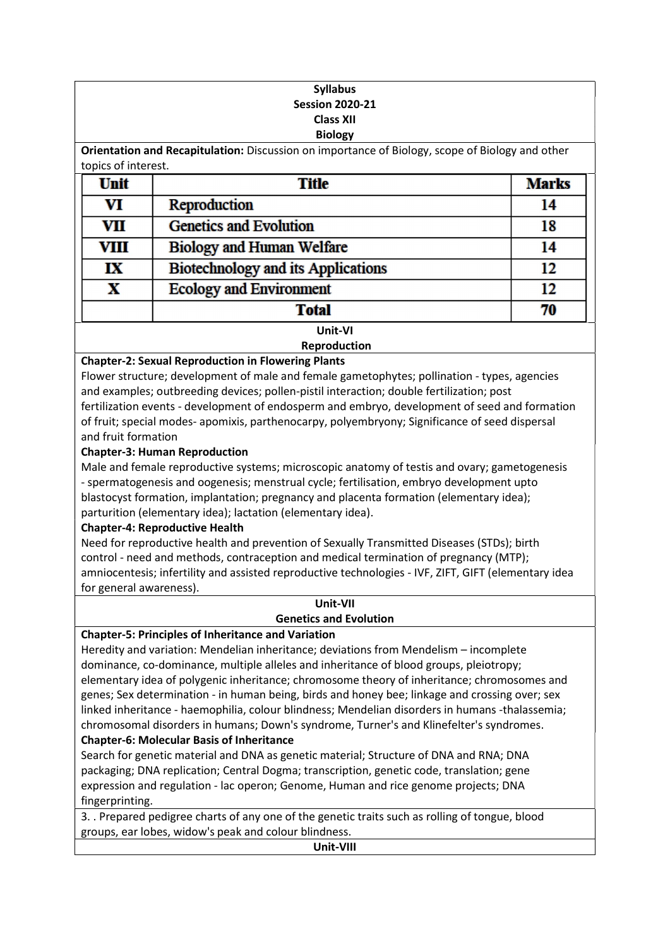#### Syllabus Session 2020-21 Class XII Biology

Orientation and Recapitulation: Discussion on importance of Biology, scope of Biology and other topics of interest.

| <b>Unit</b> | <b>Title</b>                              | <b>Marks</b> |  |
|-------------|-------------------------------------------|--------------|--|
| VI          | Reproduction                              | 14           |  |
| VII         | <b>Genetics and Evolution</b>             | 18           |  |
| VIII        | Biology and Human Welfare                 | 14           |  |
| IX          | <b>Biotechnology and its Applications</b> | 12           |  |
| X           | <b>Ecology and Environment</b>            | 12           |  |
|             | <b>Total</b>                              | 70           |  |
| Unit-VI     |                                           |              |  |

## Reproduction

#### Chapter-2: Sexual Reproduction in Flowering Plants

Flower structure; development of male and female gametophytes; pollination - types, agencies and examples; outbreeding devices; pollen-pistil interaction; double fertilization; post fertilization events - development of endosperm and embryo, development of seed and formation of fruit; special modes- apomixis, parthenocarpy, polyembryony; Significance of seed dispersal and fruit formation

#### Chapter-3: Human Reproduction

Male and female reproductive systems; microscopic anatomy of testis and ovary; gametogenesis - spermatogenesis and oogenesis; menstrual cycle; fertilisation, embryo development upto blastocyst formation, implantation; pregnancy and placenta formation (elementary idea); parturition (elementary idea); lactation (elementary idea).

### Chapter-4: Reproductive Health

Need for reproductive health and prevention of Sexually Transmitted Diseases (STDs); birth control - need and methods, contraception and medical termination of pregnancy (MTP); amniocentesis; infertility and assisted reproductive technologies - IVF, ZIFT, GIFT (elementary idea for general awareness).

#### Unit-VII Genetics and Evolution

#### Chapter-5: Principles of Inheritance and Variation

Heredity and variation: Mendelian inheritance; deviations from Mendelism – incomplete dominance, co-dominance, multiple alleles and inheritance of blood groups, pleiotropy; elementary idea of polygenic inheritance; chromosome theory of inheritance; chromosomes and genes; Sex determination - in human being, birds and honey bee; linkage and crossing over; sex linked inheritance - haemophilia, colour blindness; Mendelian disorders in humans -thalassemia; chromosomal disorders in humans; Down's syndrome, Turner's and Klinefelter's syndromes.

### Chapter-6: Molecular Basis of Inheritance

Search for genetic material and DNA as genetic material; Structure of DNA and RNA; DNA packaging; DNA replication; Central Dogma; transcription, genetic code, translation; gene expression and regulation - lac operon; Genome, Human and rice genome projects; DNA fingerprinting.

3. . Prepared pedigree charts of any one of the genetic traits such as rolling of tongue, blood groups, ear lobes, widow's peak and colour blindness.

Unit-VIII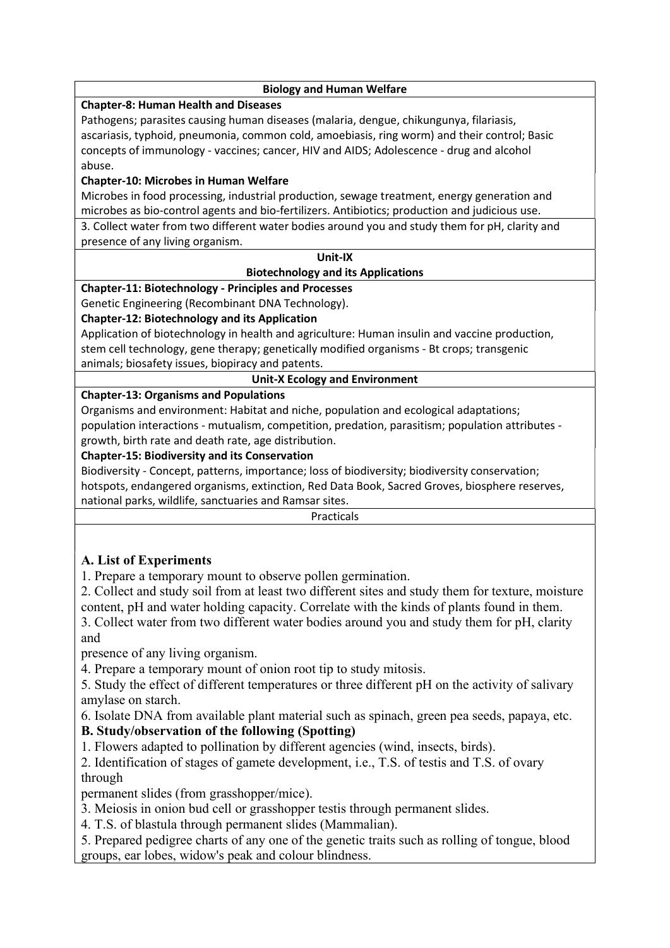| <b>Biology and Human Welfare</b>                                                                 |  |  |  |
|--------------------------------------------------------------------------------------------------|--|--|--|
| <b>Chapter-8: Human Health and Diseases</b>                                                      |  |  |  |
| Pathogens; parasites causing human diseases (malaria, dengue, chikungunya, filariasis,           |  |  |  |
| ascariasis, typhoid, pneumonia, common cold, amoebiasis, ring worm) and their control; Basic     |  |  |  |
| concepts of immunology - vaccines; cancer, HIV and AIDS; Adolescence - drug and alcohol          |  |  |  |
| abuse.                                                                                           |  |  |  |
| <b>Chapter-10: Microbes in Human Welfare</b>                                                     |  |  |  |
| Microbes in food processing, industrial production, sewage treatment, energy generation and      |  |  |  |
| microbes as bio-control agents and bio-fertilizers. Antibiotics; production and judicious use.   |  |  |  |
| 3. Collect water from two different water bodies around you and study them for pH, clarity and   |  |  |  |
| presence of any living organism.                                                                 |  |  |  |
| Unit-IX                                                                                          |  |  |  |
| <b>Biotechnology and its Applications</b>                                                        |  |  |  |
| <b>Chapter-11: Biotechnology - Principles and Processes</b>                                      |  |  |  |
| Genetic Engineering (Recombinant DNA Technology).                                                |  |  |  |
| <b>Chapter-12: Biotechnology and its Application</b>                                             |  |  |  |
| Application of biotechnology in health and agriculture: Human insulin and vaccine production,    |  |  |  |
| stem cell technology, gene therapy; genetically modified organisms - Bt crops; transgenic        |  |  |  |
| animals; biosafety issues, biopiracy and patents.                                                |  |  |  |
| <b>Unit-X Ecology and Environment</b>                                                            |  |  |  |
| <b>Chapter-13: Organisms and Populations</b>                                                     |  |  |  |
| Organisms and environment: Habitat and niche, population and ecological adaptations;             |  |  |  |
| population interactions - mutualism, competition, predation, parasitism; population attributes - |  |  |  |
| growth, birth rate and death rate, age distribution.                                             |  |  |  |
| <b>Chapter-15: Biodiversity and its Conservation</b>                                             |  |  |  |
| Biodiversity - Concept, patterns, importance; loss of biodiversity; biodiversity conservation;   |  |  |  |
| hotspots, endangered organisms, extinction, Red Data Book, Sacred Groves, biosphere reserves,    |  |  |  |
| national parks, wildlife, sanctuaries and Ramsar sites.                                          |  |  |  |
| Practicals                                                                                       |  |  |  |
|                                                                                                  |  |  |  |
|                                                                                                  |  |  |  |
| A. List of Experiments                                                                           |  |  |  |
| 1. Prepare a temporary mount to observe pollen germination.                                      |  |  |  |
| 2. Collect and study soil from at least two different sites and study them for texture, moisture |  |  |  |
| content, pH and water holding capacity. Correlate with the kinds of plants found in them.        |  |  |  |
| 3. Collect water from two different water bodies around you and study them for pH, clarity       |  |  |  |
| and                                                                                              |  |  |  |
| presence of any living organism.                                                                 |  |  |  |

4. Prepare a temporary mount of onion root tip to study mitosis.

5. Study the effect of different temperatures or three different pH on the activity of salivary amylase on starch.

6. Isolate DNA from available plant material such as spinach, green pea seeds, papaya, etc.

## B. Study/observation of the following (Spotting)

1. Flowers adapted to pollination by different agencies (wind, insects, birds).

2. Identification of stages of gamete development, i.e., T.S. of testis and T.S. of ovary through

permanent slides (from grasshopper/mice).

3. Meiosis in onion bud cell or grasshopper testis through permanent slides.

4. T.S. of blastula through permanent slides (Mammalian).

5. Prepared pedigree charts of any one of the genetic traits such as rolling of tongue, blood groups, ear lobes, widow's peak and colour blindness.